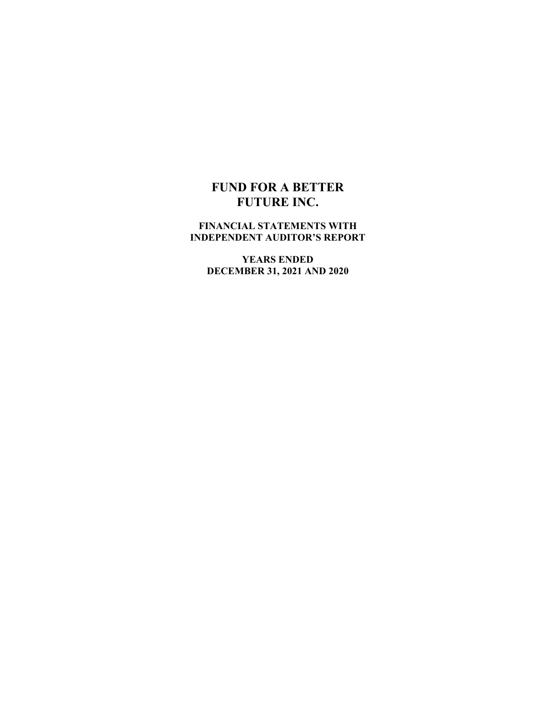### **FINANCIAL STATEMENTS WITH INDEPENDENT AUDITOR'S REPORT**

**YEARS ENDED DECEMBER 31, 2021 AND 2020**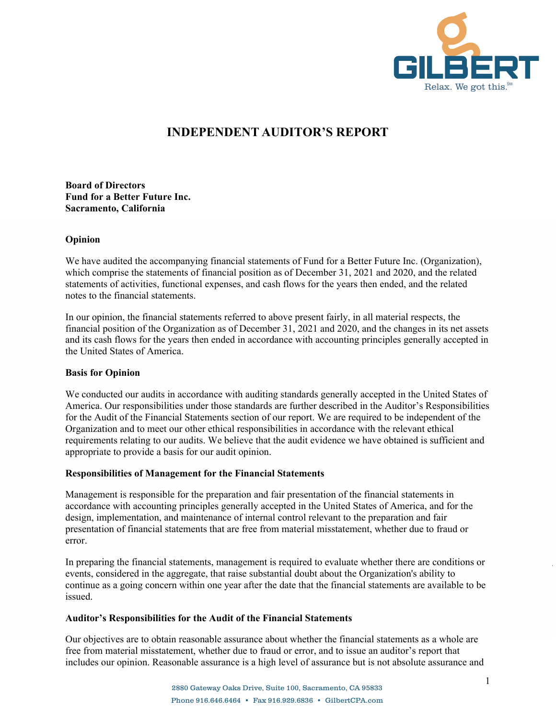

## **INDEPENDENT AUDITOR'S REPORT**

**Board of Directors Fund for a Better Future Inc. Sacramento, California** 

#### **Opinion**

We have audited the accompanying financial statements of Fund for a Better Future Inc. (Organization), which comprise the statements of financial position as of December 31, 2021 and 2020, and the related statements of activities, functional expenses, and cash flows for the years then ended, and the related notes to the financial statements.

In our opinion, the financial statements referred to above present fairly, in all material respects, the financial position of the Organization as of December 31, 2021 and 2020, and the changes in its net assets and its cash flows for the years then ended in accordance with accounting principles generally accepted in the United States of America.

#### **Basis for Opinion**

We conducted our audits in accordance with auditing standards generally accepted in the United States of America. Our responsibilities under those standards are further described in the Auditor's Responsibilities for the Audit of the Financial Statements section of our report. We are required to be independent of the Organization and to meet our other ethical responsibilities in accordance with the relevant ethical requirements relating to our audits. We believe that the audit evidence we have obtained is sufficient and appropriate to provide a basis for our audit opinion.

#### **Responsibilities of Management for the Financial Statements**

Management is responsible for the preparation and fair presentation of the financial statements in accordance with accounting principles generally accepted in the United States of America, and for the design, implementation, and maintenance of internal control relevant to the preparation and fair presentation of financial statements that are free from material misstatement, whether due to fraud or error.

In preparing the financial statements, management is required to evaluate whether there are conditions or events, considered in the aggregate, that raise substantial doubt about the Organization's ability to continue as a going concern within one year after the date that the financial statements are available to be issued.

#### **Auditor's Responsibilities for the Audit of the Financial Statements**

Our objectives are to obtain reasonable assurance about whether the financial statements as a whole are free from material misstatement, whether due to fraud or error, and to issue an auditor's report that includes our opinion. Reasonable assurance is a high level of assurance but is not absolute assurance and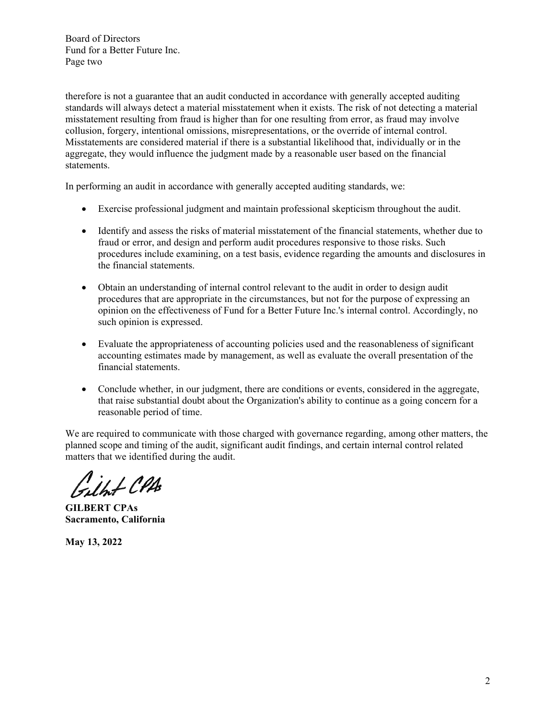Board of Directors Fund for a Better Future Inc. Page two

therefore is not a guarantee that an audit conducted in accordance with generally accepted auditing standards will always detect a material misstatement when it exists. The risk of not detecting a material misstatement resulting from fraud is higher than for one resulting from error, as fraud may involve collusion, forgery, intentional omissions, misrepresentations, or the override of internal control. Misstatements are considered material if there is a substantial likelihood that, individually or in the aggregate, they would influence the judgment made by a reasonable user based on the financial statements.

In performing an audit in accordance with generally accepted auditing standards, we:

- Exercise professional judgment and maintain professional skepticism throughout the audit.
- Identify and assess the risks of material misstatement of the financial statements, whether due to fraud or error, and design and perform audit procedures responsive to those risks. Such procedures include examining, on a test basis, evidence regarding the amounts and disclosures in the financial statements.
- Obtain an understanding of internal control relevant to the audit in order to design audit procedures that are appropriate in the circumstances, but not for the purpose of expressing an opinion on the effectiveness of Fund for a Better Future Inc.'s internal control. Accordingly, no such opinion is expressed.
- Evaluate the appropriateness of accounting policies used and the reasonableness of significant accounting estimates made by management, as well as evaluate the overall presentation of the financial statements.
- Conclude whether, in our judgment, there are conditions or events, considered in the aggregate, that raise substantial doubt about the Organization's ability to continue as a going concern for a reasonable period of time.

We are required to communicate with those charged with governance regarding, among other matters, the planned scope and timing of the audit, significant audit findings, and certain internal control related matters that we identified during the audit.

Gilbet CPA

**GILBERT CPAs Sacramento, California** 

**May 13, 2022**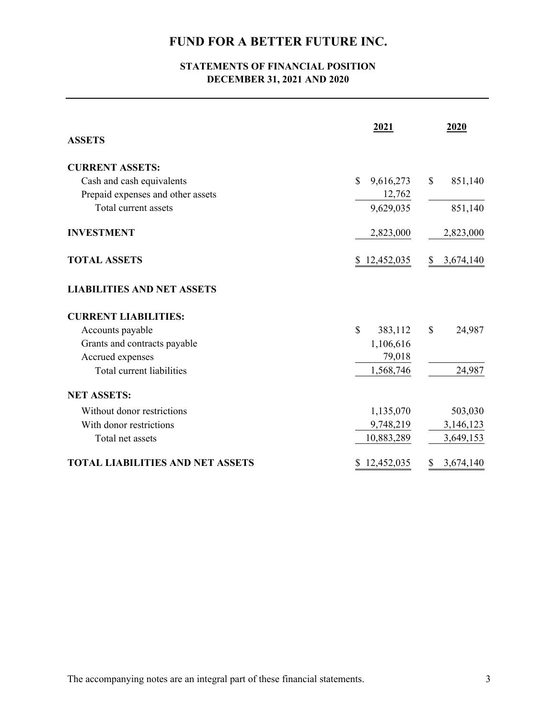### **STATEMENTS OF FINANCIAL POSITION DECEMBER 31, 2021 AND 2020**

|                                         | 2021                       | 2020                    |
|-----------------------------------------|----------------------------|-------------------------|
| <b>ASSETS</b>                           |                            |                         |
| <b>CURRENT ASSETS:</b>                  |                            |                         |
| Cash and cash equivalents               | $\mathcal{S}$<br>9,616,273 | \$<br>851,140           |
| Prepaid expenses and other assets       | 12,762                     |                         |
| Total current assets                    | 9,629,035                  | 851,140                 |
| <b>INVESTMENT</b>                       | 2,823,000                  | 2,823,000               |
| <b>TOTAL ASSETS</b>                     | \$12,452,035               | 3,674,140<br>\$         |
| <b>LIABILITIES AND NET ASSETS</b>       |                            |                         |
| <b>CURRENT LIABILITIES:</b>             |                            |                         |
| Accounts payable                        | $\mathcal{S}$<br>383,112   | $\mathcal{S}$<br>24,987 |
| Grants and contracts payable            | 1,106,616                  |                         |
| Accrued expenses                        | 79,018                     |                         |
| Total current liabilities               | 1,568,746                  | 24,987                  |
| <b>NET ASSETS:</b>                      |                            |                         |
| Without donor restrictions              | 1,135,070                  | 503,030                 |
| With donor restrictions                 | 9,748,219                  | 3,146,123               |
| Total net assets                        | 10,883,289                 | 3,649,153               |
| <b>TOTAL LIABILITIES AND NET ASSETS</b> | 12,452,035<br>S.           | 3,674,140<br>S.         |

The accompanying notes are an integral part of these financial statements. 3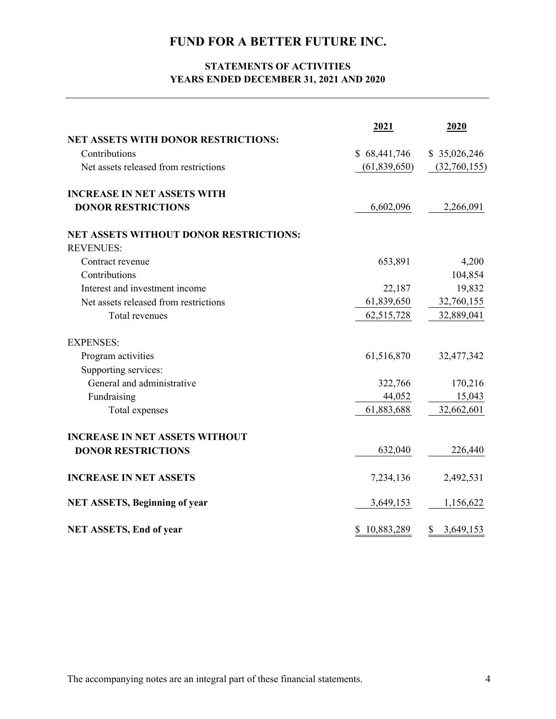### **STATEMENTS OF ACTIVITIES YEARS ENDED DECEMBER 31, 2021 AND 2020**

|                                               | 2021             | 2020            |
|-----------------------------------------------|------------------|-----------------|
| <b>NET ASSETS WITH DONOR RESTRICTIONS:</b>    |                  |                 |
| Contributions                                 | \$68,441,746     | \$35,026,246    |
| Net assets released from restrictions         | (61, 839, 650)   | (32,760,155)    |
| <b>INCREASE IN NET ASSETS WITH</b>            |                  |                 |
| <b>DONOR RESTRICTIONS</b>                     | 6,602,096        | 2,266,091       |
| <b>NET ASSETS WITHOUT DONOR RESTRICTIONS:</b> |                  |                 |
| <b>REVENUES:</b>                              |                  |                 |
| Contract revenue                              | 653,891          | 4,200           |
| Contributions                                 |                  | 104,854         |
| Interest and investment income                | 22,187           | 19,832          |
| Net assets released from restrictions         | 61,839,650       | 32,760,155      |
| Total revenues                                | 62,515,728       | 32,889,041      |
| <b>EXPENSES:</b>                              |                  |                 |
| Program activities                            | 61,516,870       | 32,477,342      |
| Supporting services:                          |                  |                 |
| General and administrative                    | 322,766          | 170,216         |
| Fundraising                                   | 44,052           | 15,043          |
| Total expenses                                | 61,883,688       | 32,662,601      |
| <b>INCREASE IN NET ASSETS WITHOUT</b>         |                  |                 |
| <b>DONOR RESTRICTIONS</b>                     | 632,040          | 226,440         |
| <b>INCREASE IN NET ASSETS</b>                 | 7,234,136        | 2,492,531       |
| <b>NET ASSETS, Beginning of year</b>          | 3,649,153        | 1,156,622       |
| <b>NET ASSETS, End of year</b>                | 10,883,289<br>\$ | \$<br>3,649,153 |

The accompanying notes are an integral part of these financial statements. 4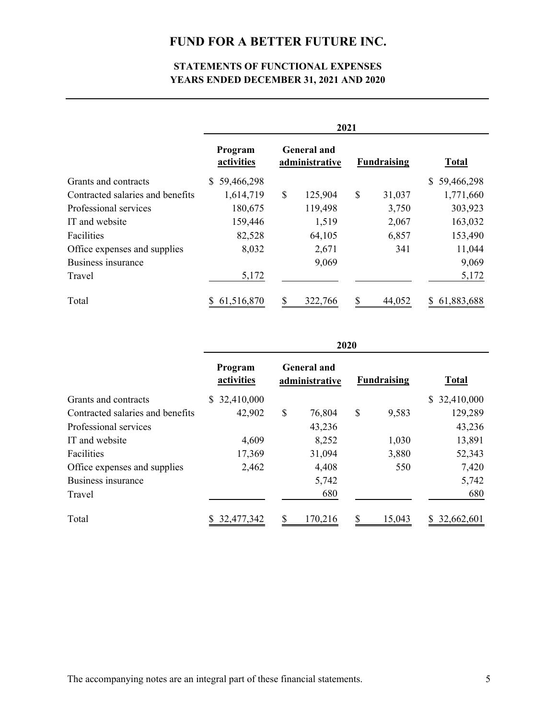### **STATEMENTS OF FUNCTIONAL EXPENSES YEARS ENDED DECEMBER 31, 2021 AND 2020**

|                                  | 2021                  |                                      |         |    |                    |    |              |
|----------------------------------|-----------------------|--------------------------------------|---------|----|--------------------|----|--------------|
|                                  | Program<br>activities | <b>General</b> and<br>administrative |         |    | <b>Fundraising</b> |    | <b>Total</b> |
| Grants and contracts             | 59,466,298<br>S.      |                                      |         |    |                    | S. | 59,466,298   |
| Contracted salaries and benefits | 1,614,719             | \$                                   | 125,904 | \$ | 31,037             |    | 1,771,660    |
| Professional services            | 180,675               |                                      | 119,498 |    | 3,750              |    | 303,923      |
| IT and website                   | 159,446               |                                      | 1,519   |    | 2,067              |    | 163,032      |
| <b>Facilities</b>                | 82,528                |                                      | 64,105  |    | 6,857              |    | 153,490      |
| Office expenses and supplies     | 8,032                 |                                      | 2,671   |    | 341                |    | 11,044       |
| Business insurance               |                       |                                      | 9,069   |    |                    |    | 9,069        |
| Travel                           | 5,172                 |                                      |         |    |                    |    | 5,172        |
| Total                            | 61,516,870            | S                                    | 322,766 | \$ | 44,052             |    | 61,883,688   |

|                                  | 2020                  |    |                                      |              |                    |                  |
|----------------------------------|-----------------------|----|--------------------------------------|--------------|--------------------|------------------|
|                                  | Program<br>activities |    | <b>General</b> and<br>administrative |              | <b>Fundraising</b> | <b>Total</b>     |
| Grants and contracts             | 32,410,000<br>S.      |    |                                      |              |                    | 32,410,000<br>S. |
| Contracted salaries and benefits | 42,902                | \$ | 76,804                               | $\mathbb{S}$ | 9,583              | 129,289          |
| Professional services            |                       |    | 43,236                               |              |                    | 43,236           |
| IT and website                   | 4,609                 |    | 8,252                                |              | 1,030              | 13,891           |
| Facilities                       | 17,369                |    | 31,094                               |              | 3,880              | 52,343           |
| Office expenses and supplies     | 2,462                 |    | 4,408                                |              | 550                | 7,420            |
| Business insurance               |                       |    | 5,742                                |              |                    | 5,742            |
| Travel                           |                       |    | 680                                  |              |                    | 680              |
| Total                            | 32,477,342            | \$ | 170,216                              |              | 15,043             | 32,662,601<br>S  |

The accompanying notes are an integral part of these financial statements. 5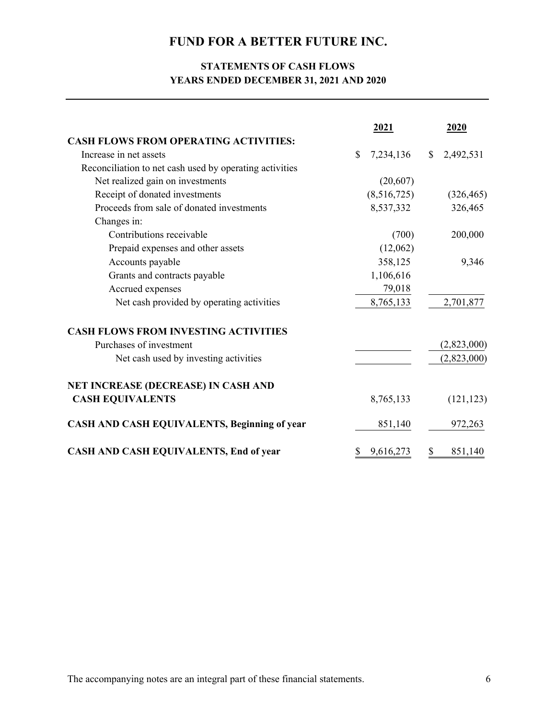### **STATEMENTS OF CASH FLOWS YEARS ENDED DECEMBER 31, 2021 AND 2020**

|                                                         | 2021            |              | 2020        |
|---------------------------------------------------------|-----------------|--------------|-------------|
| <b>CASH FLOWS FROM OPERATING ACTIVITIES:</b>            |                 |              |             |
| Increase in net assets                                  | \$<br>7,234,136 | $\mathbb{S}$ | 2,492,531   |
| Reconciliation to net cash used by operating activities |                 |              |             |
| Net realized gain on investments                        | (20,607)        |              |             |
| Receipt of donated investments                          | (8,516,725)     |              | (326, 465)  |
| Proceeds from sale of donated investments               | 8,537,332       |              | 326,465     |
| Changes in:                                             |                 |              |             |
| Contributions receivable                                | (700)           |              | 200,000     |
| Prepaid expenses and other assets                       | (12,062)        |              |             |
| Accounts payable                                        | 358,125         |              | 9,346       |
| Grants and contracts payable                            | 1,106,616       |              |             |
| Accrued expenses                                        | 79,018          |              |             |
| Net cash provided by operating activities               | 8,765,133       |              | 2,701,877   |
| <b>CASH FLOWS FROM INVESTING ACTIVITIES</b>             |                 |              |             |
| Purchases of investment                                 |                 |              | (2,823,000) |
| Net cash used by investing activities                   |                 |              | (2,823,000) |
| NET INCREASE (DECREASE) IN CASH AND                     |                 |              |             |
| <b>CASH EQUIVALENTS</b>                                 | 8,765,133       |              | (121, 123)  |
| CASH AND CASH EQUIVALENTS, Beginning of year            | 851,140         |              | 972,263     |
| CASH AND CASH EQUIVALENTS, End of year                  | \$<br>9,616,273 | \$           | 851,140     |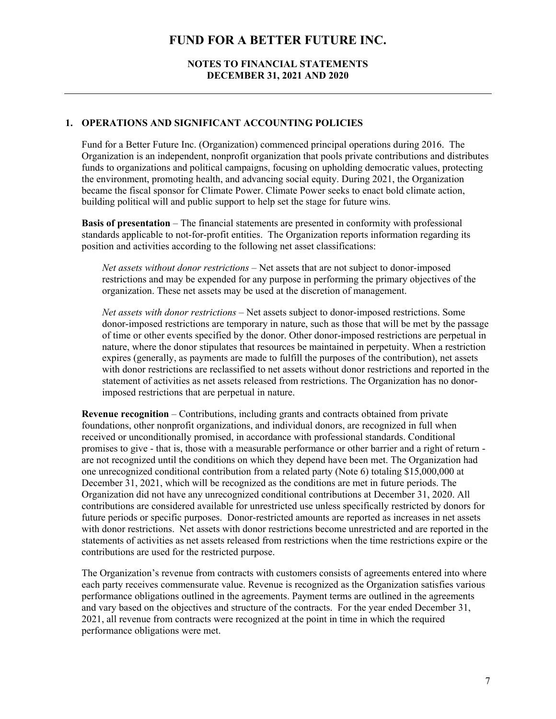#### **NOTES TO FINANCIAL STATEMENTS DECEMBER 31, 2021 AND 2020**

#### **1. OPERATIONS AND SIGNIFICANT ACCOUNTING POLICIES**

Fund for a Better Future Inc. (Organization) commenced principal operations during 2016. The Organization is an independent, nonprofit organization that pools private contributions and distributes funds to organizations and political campaigns, focusing on upholding democratic values, protecting the environment, promoting health, and advancing social equity. During 2021, the Organization became the fiscal sponsor for Climate Power. Climate Power seeks to enact bold climate action, building political will and public support to help set the stage for future wins.

**Basis of presentation** – The financial statements are presented in conformity with professional standards applicable to not-for-profit entities. The Organization reports information regarding its position and activities according to the following net asset classifications:

*Net assets without donor restrictions* – Net assets that are not subject to donor-imposed restrictions and may be expended for any purpose in performing the primary objectives of the organization. These net assets may be used at the discretion of management.

*Net assets with donor restrictions* – Net assets subject to donor-imposed restrictions. Some donor-imposed restrictions are temporary in nature, such as those that will be met by the passage of time or other events specified by the donor. Other donor-imposed restrictions are perpetual in nature, where the donor stipulates that resources be maintained in perpetuity. When a restriction expires (generally, as payments are made to fulfill the purposes of the contribution), net assets with donor restrictions are reclassified to net assets without donor restrictions and reported in the statement of activities as net assets released from restrictions. The Organization has no donorimposed restrictions that are perpetual in nature.

**Revenue recognition** – Contributions, including grants and contracts obtained from private foundations, other nonprofit organizations, and individual donors, are recognized in full when received or unconditionally promised, in accordance with professional standards. Conditional promises to give - that is, those with a measurable performance or other barrier and a right of return are not recognized until the conditions on which they depend have been met. The Organization had one unrecognized conditional contribution from a related party (Note 6) totaling \$15,000,000 at December 31, 2021, which will be recognized as the conditions are met in future periods. The Organization did not have any unrecognized conditional contributions at December 31, 2020. All contributions are considered available for unrestricted use unless specifically restricted by donors for future periods or specific purposes. Donor-restricted amounts are reported as increases in net assets with donor restrictions. Net assets with donor restrictions become unrestricted and are reported in the statements of activities as net assets released from restrictions when the time restrictions expire or the contributions are used for the restricted purpose.

The Organization's revenue from contracts with customers consists of agreements entered into where each party receives commensurate value. Revenue is recognized as the Organization satisfies various performance obligations outlined in the agreements. Payment terms are outlined in the agreements and vary based on the objectives and structure of the contracts. For the year ended December 31, 2021, all revenue from contracts were recognized at the point in time in which the required performance obligations were met.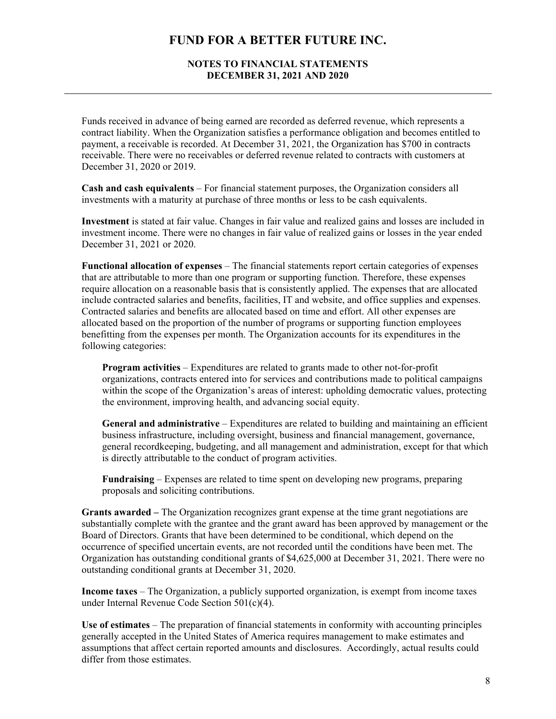#### **NOTES TO FINANCIAL STATEMENTS DECEMBER 31, 2021 AND 2020**

Funds received in advance of being earned are recorded as deferred revenue, which represents a contract liability. When the Organization satisfies a performance obligation and becomes entitled to payment, a receivable is recorded. At December 31, 2021, the Organization has \$700 in contracts receivable. There were no receivables or deferred revenue related to contracts with customers at December 31, 2020 or 2019.

**Cash and cash equivalents** – For financial statement purposes, the Organization considers all investments with a maturity at purchase of three months or less to be cash equivalents.

**Investment** is stated at fair value. Changes in fair value and realized gains and losses are included in investment income. There were no changes in fair value of realized gains or losses in the year ended December 31, 2021 or 2020.

**Functional allocation of expenses** – The financial statements report certain categories of expenses that are attributable to more than one program or supporting function. Therefore, these expenses require allocation on a reasonable basis that is consistently applied. The expenses that are allocated include contracted salaries and benefits, facilities, IT and website, and office supplies and expenses. Contracted salaries and benefits are allocated based on time and effort. All other expenses are allocated based on the proportion of the number of programs or supporting function employees benefitting from the expenses per month. The Organization accounts for its expenditures in the following categories:

**Program activities** – Expenditures are related to grants made to other not-for-profit organizations, contracts entered into for services and contributions made to political campaigns within the scope of the Organization's areas of interest: upholding democratic values, protecting the environment, improving health, and advancing social equity.

**General and administrative** – Expenditures are related to building and maintaining an efficient business infrastructure, including oversight, business and financial management, governance, general recordkeeping, budgeting, and all management and administration, except for that which is directly attributable to the conduct of program activities.

**Fundraising** – Expenses are related to time spent on developing new programs, preparing proposals and soliciting contributions.

**Grants awarded –** The Organization recognizes grant expense at the time grant negotiations are substantially complete with the grantee and the grant award has been approved by management or the Board of Directors. Grants that have been determined to be conditional, which depend on the occurrence of specified uncertain events, are not recorded until the conditions have been met. The Organization has outstanding conditional grants of \$4,625,000 at December 31, 2021. There were no outstanding conditional grants at December 31, 2020.

**Income taxes** – The Organization, a publicly supported organization, is exempt from income taxes under Internal Revenue Code Section 501(c)(4).

**Use of estimates** – The preparation of financial statements in conformity with accounting principles generally accepted in the United States of America requires management to make estimates and assumptions that affect certain reported amounts and disclosures. Accordingly, actual results could differ from those estimates.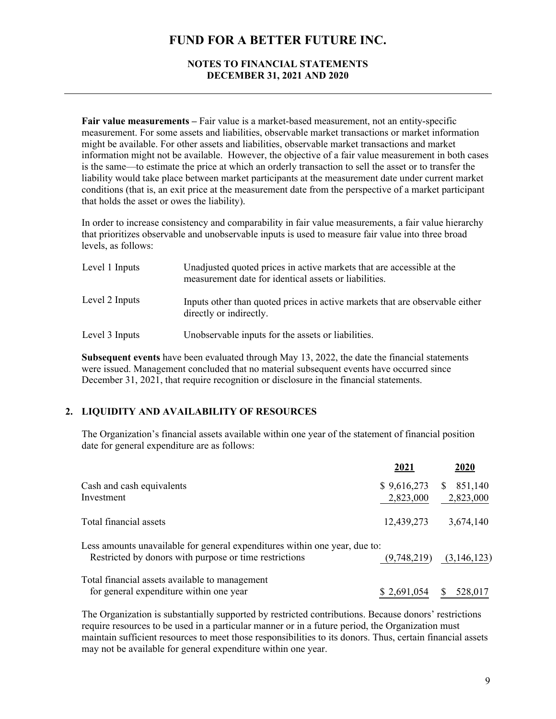#### **NOTES TO FINANCIAL STATEMENTS DECEMBER 31, 2021 AND 2020**

**Fair value measurements –** Fair value is a market-based measurement, not an entity-specific measurement. For some assets and liabilities, observable market transactions or market information might be available. For other assets and liabilities, observable market transactions and market information might not be available. However, the objective of a fair value measurement in both cases is the same—to estimate the price at which an orderly transaction to sell the asset or to transfer the liability would take place between market participants at the measurement date under current market conditions (that is, an exit price at the measurement date from the perspective of a market participant that holds the asset or owes the liability).

In order to increase consistency and comparability in fair value measurements, a fair value hierarchy that prioritizes observable and unobservable inputs is used to measure fair value into three broad levels, as follows:

| Level 1 Inputs | Unadjusted quoted prices in active markets that are accessible at the<br>measurement date for identical assets or liabilities. |
|----------------|--------------------------------------------------------------------------------------------------------------------------------|
| Level 2 Inputs | Inputs other than quoted prices in active markets that are observable either<br>directly or indirectly.                        |
| Level 3 Inputs | Unobservable inputs for the assets or liabilities.                                                                             |

**Subsequent events** have been evaluated through May 13, 2022, the date the financial statements were issued. Management concluded that no material subsequent events have occurred since December 31, 2021, that require recognition or disclosure in the financial statements.

### **2. LIQUIDITY AND AVAILABILITY OF RESOURCES**

The Organization's financial assets available within one year of the statement of financial position date for general expenditure are as follows:

|                                                                            | 2021        | 2020          |
|----------------------------------------------------------------------------|-------------|---------------|
| Cash and cash equivalents                                                  | \$9,616,273 | 851,140<br>S. |
| Investment                                                                 | 2,823,000   | 2,823,000     |
| Total financial assets                                                     | 12,439,273  | 3,674,140     |
| Less amounts unavailable for general expenditures within one year, due to: |             |               |
| Restricted by donors with purpose or time restrictions                     | (9,748,219) | (3,146,123)   |
| Total financial assets available to management                             |             |               |
| for general expenditure within one year                                    | \$2,691,054 | 528,017       |

The Organization is substantially supported by restricted contributions. Because donors' restrictions require resources to be used in a particular manner or in a future period, the Organization must maintain sufficient resources to meet those responsibilities to its donors. Thus, certain financial assets may not be available for general expenditure within one year.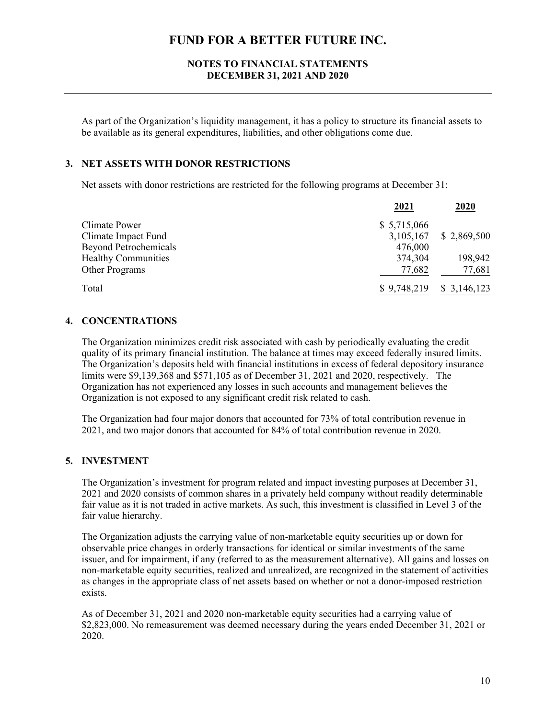#### **NOTES TO FINANCIAL STATEMENTS DECEMBER 31, 2021 AND 2020**

As part of the Organization's liquidity management, it has a policy to structure its financial assets to be available as its general expenditures, liabilities, and other obligations come due.

#### **3. NET ASSETS WITH DONOR RESTRICTIONS**

Net assets with donor restrictions are restricted for the following programs at December 31:

|                              | <u>2021</u> | 2020                   |
|------------------------------|-------------|------------------------|
| Climate Power                | \$5,715,066 |                        |
| Climate Impact Fund          |             | 3,105,167 \$ 2,869,500 |
| <b>Beyond Petrochemicals</b> | 476,000     |                        |
| <b>Healthy Communities</b>   | 374,304     | 198,942                |
| <b>Other Programs</b>        | 77,682      | 77,681                 |
| Total                        | \$9,748,219 | \$3,146,123            |

#### **4. CONCENTRATIONS**

The Organization minimizes credit risk associated with cash by periodically evaluating the credit quality of its primary financial institution. The balance at times may exceed federally insured limits. The Organization's deposits held with financial institutions in excess of federal depository insurance limits were \$9,139,368 and \$571,105 as of December 31, 2021 and 2020, respectively. The Organization has not experienced any losses in such accounts and management believes the Organization is not exposed to any significant credit risk related to cash.

The Organization had four major donors that accounted for 73% of total contribution revenue in 2021, and two major donors that accounted for 84% of total contribution revenue in 2020.

#### **5. INVESTMENT**

The Organization's investment for program related and impact investing purposes at December 31, 2021 and 2020 consists of common shares in a privately held company without readily determinable fair value as it is not traded in active markets. As such, this investment is classified in Level 3 of the fair value hierarchy.

The Organization adjusts the carrying value of non-marketable equity securities up or down for observable price changes in orderly transactions for identical or similar investments of the same issuer, and for impairment, if any (referred to as the measurement alternative). All gains and losses on non-marketable equity securities, realized and unrealized, are recognized in the statement of activities as changes in the appropriate class of net assets based on whether or not a donor-imposed restriction exists.

As of December 31, 2021 and 2020 non-marketable equity securities had a carrying value of \$2,823,000. No remeasurement was deemed necessary during the years ended December 31, 2021 or 2020.